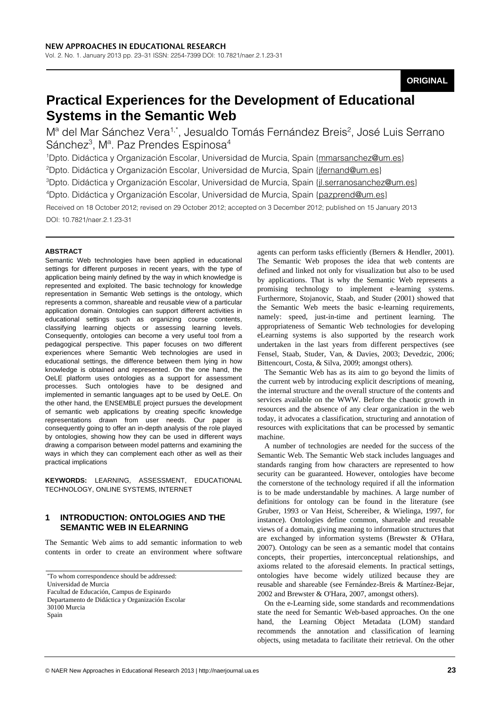# **ORIGINAL**

# **Practical Experiences for the Development of Educational Systems in the Semantic Web**

Mª del Mar Sánchez Vera<sup>1,\*</sup>, Jesualdo Tomás Fernández Breis<sup>2</sup>, José Luis Serrano Sánchez<sup>3</sup>, Mª. Paz Prendes Espinosa<sup>4</sup>

<sup>1</sup>Dpto. Didáctica y Organización Escolar, Universidad de Murcia, Spain {mmarsanchez@um.es}

<sup>2</sup>Dpto. Didáctica y Organización Escolar, Universidad de Murcia, Spain <u>{jfernand@um.es}</u>

<sup>3</sup>Dpto. Didáctica y Organización Escolar, Universidad de Murcia, Spain <u>{jl.serranosanchez@um.es</u>}

<sup>4</sup>Dpto. Didáctica y Organización Escolar, Universidad de Murcia, Spain {pazprend@um.es}

Received on 18 October 2012; revised on 29 October 2012; accepted on 3 December 2012; published on 15 January 2013 DOI: 10.7821/naer.2.1.23-31

#### **ABSTRACT**

Semantic Web technologies have been applied in educational settings for different purposes in recent years, with the type of application being mainly defined by the way in which knowledge is represented and exploited. The basic technology for knowledge representation in Semantic Web settings is the ontology, which represents a common, shareable and reusable view of a particular application domain. Ontologies can support different activities in educational settings such as organizing course contents, classifying learning objects or assessing learning levels. Consequently, ontologies can become a very useful tool from a pedagogical perspective. This paper focuses on two different experiences where Semantic Web technologies are used in educational settings, the difference between them lying in how knowledge is obtained and represented. On the one hand, the OeLE platform uses ontologies as a support for assessment processes. Such ontologies have to be designed and implemented in semantic languages apt to be used by OeLE. On the other hand, the ENSEMBLE project pursues the development of semantic web applications by creating specific knowledge representations drawn from user needs. Our paper is consequently going to offer an in-depth analysis of the role played by ontologies, showing how they can be used in different ways drawing a comparison between model patterns and examining the ways in which they can complement each other as well as their practical implications

**KEYWORDS:** LEARNING, ASSESSMENT, EDUCATIONAL TECHNOLOGY, ONLINE SYSTEMS, INTERNET

# **1 INTRODUCTION: ONTOLOGIES AND THE SEMANTIC WEB IN ELEARNING**

The Semantic Web aims to add semantic information to web contents in order to create an environment where software

\* To whom correspondence should be addressed: Universidad de Murcia Facultad de Educación, Campus de Espinardo Departamento de Didáctica y Organización Escolar 30100 Murcia Spain

agents can perform tasks efficiently (Berners & Hendler, 2001). The Semantic Web proposes the idea that web contents are defined and linked not only for visualization but also to be used by applications. That is why the Semantic Web represents a promising technology to implement e-learning systems. Furthermore, Stojanovic, Staab, and Studer (2001) showed that the Semantic Web meets the basic e-learning requirements, namely: speed, just-in-time and pertinent learning. The appropriateness of Semantic Web technologies for developing eLearning systems is also supported by the research work undertaken in the last years from different perspectives (see Fensel, Staab, Studer, Van, & Davies, 2003; Devedzic, 2006; Bittencourt, Costa, & Silva, 2009; amongst others).

The Semantic Web has as its aim to go beyond the limits of the current web by introducing explicit descriptions of meaning, the internal structure and the overall structure of the contents and services available on the WWW. Before the chaotic growth in resources and the absence of any clear organization in the web today, it advocates a classification, structuring and annotation of resources with explicitations that can be processed by semantic machine.

A number of technologies are needed for the success of the Semantic Web. The Semantic Web stack includes languages and standards ranging from how characters are represented to how security can be guaranteed. However, ontologies have become the cornerstone of the technology required if all the information is to be made understandable by machines. A large number of definitions for ontology can be found in the literature (see Gruber, 1993 or Van Heist, Schereiber, & Wielinga, 1997, for instance). Ontologies define common, shareable and reusable views of a domain, giving meaning to information structures that are exchanged by information systems (Brewster & O'Hara, 2007). Ontology can be seen as a semantic model that contains concepts, their properties, interconceptual relationships, and axioms related to the aforesaid elements. In practical settings, ontologies have become widely utilized because they are reusable and shareable (see Fernández-Breis & Martínez-Bejar, 2002 and Brewster & O'Hara, 2007, amongst others).

On the e-Learning side, some standards and recommendations state the need for Semantic Web-based approaches. On the one hand, the Learning Object Metadata (LOM) standard recommends the annotation and classification of learning objects, using metadata to facilitate their retrieval. On the other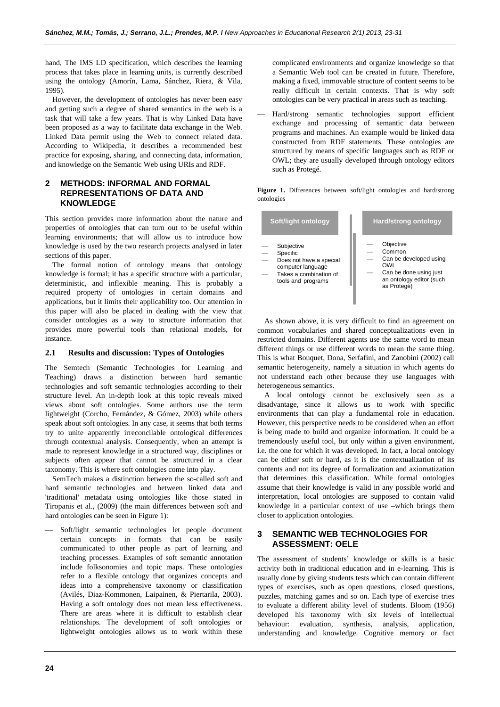hand, The IMS LD specification, which describes the learning process that takes place in learning units, is currently described using the ontology (Amorín, Lama, Sánchez, Riera, & Vila, 1995).

However, the development of ontologies has never been easy and getting such a degree of shared semantics in the web is a task that will take a few years. That is why Linked Data have been proposed as a way to facilitate data exchange in the Web. Linked Data permit using the Web to connect related data. According to Wikipedia, it describes a recommended best practice for exposing, sharing, and connecting data, information, and knowledge on the Semantic Web using URIs and RDF.

# **2 METHODS: INFORMAL AND FORMAL REPRESENTATIONS OF DATA AND KNOWLEDGE**

This section provides more information about the nature and properties of ontologies that can turn out to be useful within learning environments; that will allow us to introduce how knowledge is used by the two research projects analysed in later sections of this paper.

The formal notion of ontology means that ontology knowledge is formal; it has a specific structure with a particular, deterministic, and inflexible meaning. This is probably a required property of ontologies in certain domains and applications, but it limits their applicability too. Our attention in this paper will also be placed in dealing with the view that consider ontologies as a way to structure information that provides more powerful tools than relational models, for instance.

## **2.1 Results and discussion: Types of Ontologies**

The Semtech (Semantic Technologies for Learning and Teaching) draws a distinction between hard semantic technologies and soft semantic technologies according to their structure level. An in-depth look at this topic reveals mixed views about soft ontologies. Some authors use the term lightweight (Corcho, Fernández, & Gómez, 2003) while others speak about soft ontologies. In any case, it seems that both terms try to unite apparently irreconcilable ontological differences through contextual analysis. Consequently, when an attempt is made to represent knowledge in a structured way, disciplines or subjects often appear that cannot be structured in a clear taxonomy. This is where soft ontologies come into play.

SemTech makes a distinction between the so-called soft and hard semantic technologies and between linked data and 'traditional' metadata using ontologies like those stated in Tiropanis et al., (2009) (the main differences between soft and hard ontologies can be seen in Figure 1):

 Soft/light semantic technologies let people document certain concepts in formats that can be easily communicated to other people as part of learning and teaching processes. Examples of soft semantic annotation include folksonomies and topic maps. These ontologies refer to a flexible ontology that organizes concepts and ideas into a comprehensive taxonomy or classification (Avilés, Diaz-Kommonen, Laipainen, & Piertarila, 2003). Having a soft ontology does not mean less effectiveness. There are areas where it is difficult to establish clear relationships. The development of soft ontologies or lightweight ontologies allows us to work within these

complicated environments and organize knowledge so that a Semantic Web tool can be created in future. Therefore, making a fixed, immovable structure of content seems to be really difficult in certain contexts. That is why soft ontologies can be very practical in areas such as teaching.

 Hard/strong semantic technologies support efficient exchange and processing of semantic data between programs and machines. An example would be linked data constructed from RDF statements. These ontologies are structured by means of specific languages such as RDF or OWL; they are usually developed through ontology editors such as Protegé.

**Figure 1.** Differences between soft/light ontologies and hard/strong ontologies

| Soft/light ontology                                                                                                    | <b>Hard/strong ontology</b>                                                                                               |
|------------------------------------------------------------------------------------------------------------------------|---------------------------------------------------------------------------------------------------------------------------|
| Subjective<br>Specific<br>Does not have a special<br>computer language<br>Takes a combination of<br>tools and programs | Objective<br>Common<br>Can be developed using<br>OWI<br>Can be done using just<br>an ontology editor (such<br>as Protegé) |

As shown above, it is very difficult to find an agreement on common vocabularies and shared conceptualizations even in restricted domains. Different agents use the same word to mean different things or use different words to mean the same thing. This is what Bouquet, Dona, Serfafini, and Zanobini (2002) call semantic heterogeneity, namely a situation in which agents do not understand each other because they use languages with heterogeneous semantics.

A local ontology cannot be exclusively seen as a disadvantage, since it allows us to work with specific environments that can play a fundamental role in education. However, this perspective needs to be considered when an effort is being made to build and organize information. It could be a tremendously useful tool, but only within a given environment, i.e. the one for which it was developed. In fact, a local ontology can be either soft or hard, as it is the contextualization of its contents and not its degree of formalization and axiomatization that determines this classification. While formal ontologies assume that their knowledge is valid in any possible world and interpretation, local ontologies are supposed to contain valid knowledge in a particular context of use –which brings them closer to application ontologies.

# **3 SEMANTIC WEB TECHNOLOGIES FOR ASSESSMENT: OELE**

The assessment of students' knowledge or skills is a basic activity both in traditional education and in e-learning. This is usually done by giving students tests which can contain different types of exercises, such as open questions, closed questions, puzzles, matching games and so on. Each type of exercise tries to evaluate a different ability level of students. Bloom (1956) developed his taxonomy with six levels of intellectual behaviour: evaluation, synthesis, analysis, application, understanding and knowledge. Cognitive memory or fact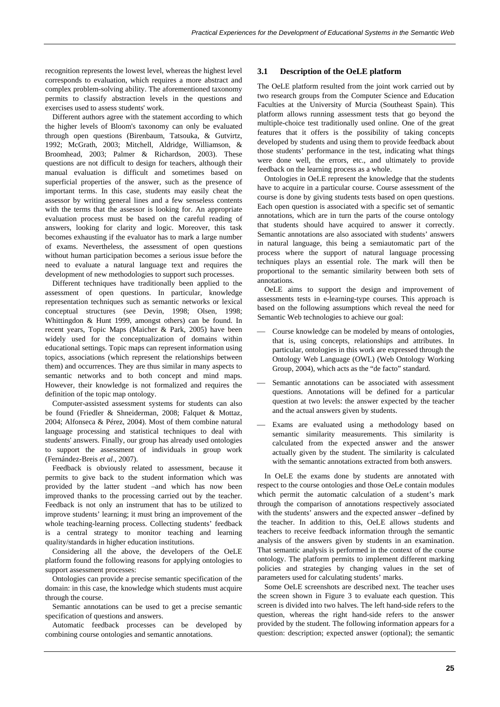recognition represents the lowest level, whereas the highest level corresponds to evaluation, which requires a more abstract and complex problem-solving ability. The aforementioned taxonomy permits to classify abstraction levels in the questions and exercises used to assess students' work.

Different authors agree with the statement according to which the higher levels of Bloom's taxonomy can only be evaluated through open questions (Birenbaum, Tatsouka, & Gutvirtz, 1992; McGrath, 2003; Mitchell, Aldridge, Williamson, & Broomhead, 2003; Palmer & Richardson, 2003). These questions are not difficult to design for teachers, although their manual evaluation is difficult and sometimes based on superficial properties of the answer, such as the presence of important terms. In this case, students may easily cheat the assessor by writing general lines and a few senseless contents with the terms that the assessor is looking for. An appropriate evaluation process must be based on the careful reading of answers, looking for clarity and logic. Moreover, this task becomes exhausting if the evaluator has to mark a large number of exams. Nevertheless, the assessment of open questions without human participation becomes a serious issue before the need to evaluate a natural language text and requires the development of new methodologies to support such processes.

Different techniques have traditionally been applied to the assessment of open questions. In particular, knowledge representation techniques such as semantic networks or lexical conceptual structures (see Devin, 1998; Olsen, 1998; Whittingdon & Hunt 1999, amongst others) can be found. In recent years, Topic Maps (Maicher & Park, 2005) have been widely used for the conceptualization of domains within educational settings. Topic maps can represent information using topics, associations (which represent the relationships between them) and occurrences. They are thus similar in many aspects to semantic networks and to both concept and mind maps. However, their knowledge is not formalized and requires the definition of the topic map ontology.

Computer-assisted assessment systems for students can also be found (Friedler & Shneiderman, 2008; Falquet & Mottaz, 2004; Alfonseca & Pérez, 2004). Most of them combine natural language processing and statistical techniques to deal with students' answers. Finally, our group has already used ontologies to support the assessment of individuals in group work (Fernández-Breis *et al*., 2007).

Feedback is obviously related to assessment, because it permits to give back to the student information which was provided by the latter student –and which has now been improved thanks to the processing carried out by the teacher. Feedback is not only an instrument that has to be utilized to improve students' learning; it must bring an improvement of the whole teaching-learning process. Collecting students' feedback is a central strategy to monitor teaching and learning quality/standards in higher education institutions.

Considering all the above, the developers of the OeLE platform found the following reasons for applying ontologies to support assessment processes:

Ontologies can provide a precise semantic specification of the domain: in this case, the knowledge which students must acquire through the course.

Semantic annotations can be used to get a precise semantic specification of questions and answers.

Automatic feedback processes can be developed by combining course ontologies and semantic annotations.

## **3.1 Description of the OeLE platform**

The OeLE platform resulted from the joint work carried out by two research groups from the Computer Science and Education Faculties at the University of Murcia (Southeast Spain). This platform allows running assessment tests that go beyond the multiple-choice test traditionally used online. One of the great features that it offers is the possibility of taking concepts developed by students and using them to provide feedback about those students' performance in the test, indicating what things were done well, the errors, etc., and ultimately to provide feedback on the learning process as a whole.

Ontologies in OeLE represent the knowledge that the students have to acquire in a particular course. Course assessment of the course is done by giving students tests based on open questions. Each open question is associated with a specific set of semantic annotations, which are in turn the parts of the course ontology that students should have acquired to answer it correctly. Semantic annotations are also associated with students' answers in natural language, this being a semiautomatic part of the process where the support of natural language processing techniques plays an essential role. The mark will then be proportional to the semantic similarity between both sets of annotations.

OeLE aims to support the design and improvement of assessments tests in e-learning-type courses. This approach is based on the following assumptions which reveal the need for Semantic Web technologies to achieve our goal:

- Course knowledge can be modeled by means of ontologies, that is, using concepts, relationships and attributes. In particular, ontologies in this work are expressed through the Ontology Web Language (OWL) (Web Ontology Working Group, 2004), which acts as the "de facto" standard.
- Semantic annotations can be associated with assessment questions. Annotations will be defined for a particular question at two levels: the answer expected by the teacher and the actual answers given by students.
- Exams are evaluated using a methodology based on semantic similarity measurements. This similarity is calculated from the expected answer and the answer actually given by the student. The similarity is calculated with the semantic annotations extracted from both answers.

In OeLE the exams done by students are annotated with respect to the course ontologies and those OeLe contain modules which permit the automatic calculation of a student's mark through the comparison of annotations respectively associated with the students' answers and the expected answer –defined by the teacher. In addition to this, OeLE allows students and teachers to receive feedback information through the semantic analysis of the answers given by students in an examination. That semantic analysis is performed in the context of the course ontology. The platform permits to implement different marking policies and strategies by changing values in the set of parameters used for calculating students' marks.

Some OeLE screenshots are described next. The teacher uses the screen shown in Figure 3 to evaluate each question. This screen is divided into two halves. The left hand-side refers to the question, whereas the right hand-side refers to the answer provided by the student. The following information appears for a question: description; expected answer (optional); the semantic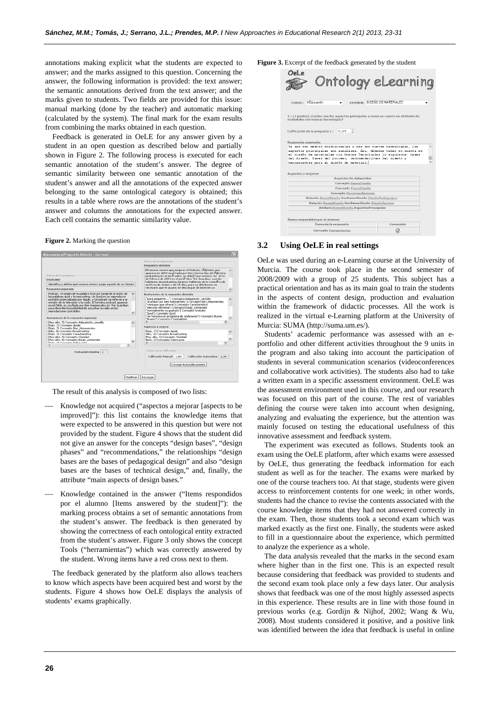annotations making explicit what the students are expected to answer; and the marks assigned to this question. Concerning the answer, the following information is provided: the text answer; the semantic annotations derived from the text answer; and the marks given to students. Two fields are provided for this issue: manual marking (done by the teacher) and automatic marking (calculated by the system). The final mark for the exam results from combining the marks obtained in each question.

Feedback is generated in OeLE for any answer given by a student in an open question as described below and partially shown in Figure 2. The following process is executed for each semantic annotation of the student's answer. The degree of semantic similarity between one semantic annotation of the student's answer and all the annotations of the expected answer belonging to the same ontological category is obtained; this results in a table where rows are the annotations of the student's answer and columns the annotations for the expected answer. Each cell contains the semantic similarity value.

#### **Figure 2.** Marking the question



The result of this analysis is composed of two lists:

- Knowledge not acquired ("aspectos a mejorar [aspects to be improved]"): this list contains the knowledge items that were expected to be answered in this question but were not provided by the student. Figure 4 shows that the student did not give an answer for the concepts "design bases", "design phases" and "recommendations," the relationships "design bases are the bases of pedagogical design" and also "design bases are the bases of technical design," and, finally, the attribute "main aspects of design bases."
- Knowledge contained in the answer ("Items respondidos por el alumno [Items answered by the student]"): the marking process obtains a set of semantic annotations from the student's answer. The feedback is then generated by showing the correctness of each ontological entity extracted from the student's answer. Figure 3 only shows the concept Tools ("herramientas") which was correctly answered by the student. Wrong items have a red cross next to them.

The feedback generated by the platform also allows teachers to know which aspects have been acquired best and worst by the students. Figure 4 shows how OeLE displays the analysis of students' exams graphically.

**Figure 3.** Excerpt of the feedback generated by the student

| CURSO: Il-Educación<br>1.- (2 puntos) ¿Cuáles son los aspectos principales a tener en cuenta en el diseño de                             | <b>EXAMEN: DISEÑO DE MATERIALES</b> |
|------------------------------------------------------------------------------------------------------------------------------------------|-------------------------------------|
|                                                                                                                                          |                                     |
| materiales con nuevas tecnologías?                                                                                                       |                                     |
| Calificación de la pregunta 1 :<br>0.29                                                                                                  |                                     |
| Ya sea con medios tradicionales o sea con nuevas tecnologías, los<br>aspectos principales son similares. Así, debemos tener en cuenta en |                                     |
| el diseño de materiales con Nuevas Tecnologías lo siguiente: bases                                                                       |                                     |
| del diseño, fases del proceso, recomendaciones del diseño y                                                                              |                                     |
|                                                                                                                                          |                                     |
|                                                                                                                                          |                                     |
|                                                                                                                                          |                                     |
|                                                                                                                                          |                                     |
| <b>Aspectos No Adquiridos</b>                                                                                                            |                                     |
| Concepto BasesDiseño                                                                                                                     |                                     |
| Concepto FasesDiseño                                                                                                                     |                                     |
| <b>Concepto Recomendaciones</b>                                                                                                          |                                     |
| Relación BasesDiseño SonBasesDiseño DiseñoPedagogico                                                                                     |                                     |
| Relación BasesDiseño SonBasesDiseño DiseñoTecnico<br>Atributo BasesDiseño,AspectosPrincipales                                            |                                     |
|                                                                                                                                          |                                     |
| herramientas para el diseño de material.<br>Aspectos a mejorar:<br>Ítems respondidos por el alumno:<br>Ítems de la respuesta             | Corrección                          |

#### **3.2 Using OeLE in real settings**

OeLe was used during an e-Learning course at the University of Murcia. The course took place in the second semester of 2008/2009 with a group of 25 students. This subject has a practical orientation and has as its main goal to train the students in the aspects of content design, production and evaluation within the framework of didactic processes. All the work is realized in the virtual e-Learning platform at the University of Murcia: SUMA (http://suma.um.es/).

Students' academic performance was assessed with an eportfolio and other different activities throughout the 9 units in the program and also taking into account the participation of students in several communication scenarios (videoconferences and collaborative work activities). The students also had to take a written exam in a specific assessment environment. OeLE was the assessment environment used in this course, and our research was focused on this part of the course. The rest of variables defining the course were taken into account when designing, analyzing and evaluating the experience, but the attention was mainly focused on testing the educational usefulness of this innovative assessment and feedback system.

The experiment was executed as follows. Students took an exam using the OeLE platform, after which exams were assessed by OeLE, thus generating the feedback information for each student as well as for the teacher. The exams were marked by one of the course teachers too. At that stage, students were given access to reinforcement contents for one week; in other words, students had the chance to revise the contents associated with the course knowledge items that they had not answered correctly in the exam. Then, those students took a second exam which was marked exactly as the first one. Finally, the students were asked to fill in a questionnaire about the experience, which permitted to analyze the experience as a whole.

The data analysis revealed that the marks in the second exam where higher than in the first one. This is an expected result because considering that feedback was provided to students and the second exam took place only a few days later. Our analysis shows that feedback was one of the most highly assessed aspects in this experience. These results are in line with those found in previous works (e.g. Gordijn & Nijhof, 2002; Wang & Wu, 2008). Most students considered it positive, and a positive link was identified between the idea that feedback is useful in online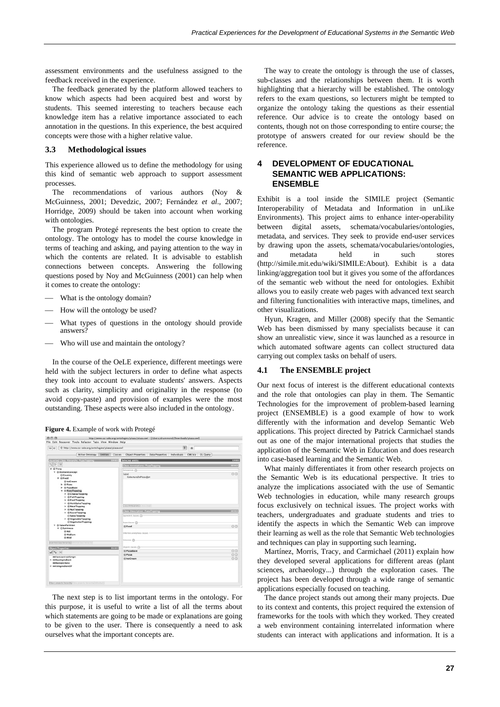assessment environments and the usefulness assigned to the feedback received in the experience.

The feedback generated by the platform allowed teachers to know which aspects had been acquired best and worst by students. This seemed interesting to teachers because each knowledge item has a relative importance associated to each annotation in the questions. In this experience, the best acquired concepts were those with a higher relative value.

#### **3.3 Methodological issues**

This experience allowed us to define the methodology for using this kind of semantic web approach to support assessment processes.

The recommendations of various authors (Noy & McGuinness, 2001; Devedzic, 2007; Fernández *et al*., 2007; Horridge, 2009) should be taken into account when working with ontologies.

The program Protegé represents the best option to create the ontology. The ontology has to model the course knowledge in terms of teaching and asking, and paying attention to the way in which the contents are related. It is advisable to establish connections between concepts. Answering the following questions posed by Noy and McGuinness (2001) can help when it comes to create the ontology:

- What is the ontology domain?
- How will the ontology be used?
- What types of questions in the ontology should provide answers?
- Who will use and maintain the ontology?

In the course of the OeLE experience, different meetings were held with the subject lecturers in order to define what aspects they took into account to evaluate students' answers. Aspects such as clarity, simplicity and originality in the response (to avoid copy-paste) and provision of examples were the most outstanding. These aspects were also included in the ontology.

| Figure 4. Example of work with Protegé |  |  |
|----------------------------------------|--|--|
|                                        |  |  |

| 丽<br>+ http://www.co-ode.org/ontologies/pizza/pizza.owl<br>56<br>$\Leftrightarrow$ |                                                               |              |
|------------------------------------------------------------------------------------|---------------------------------------------------------------|--------------|
| Active Ontology Entities Classes                                                   | Object Properties Data Properties Individuals OWLViz DL Query |              |
| Asserted Class Hierarchy: PizzaTopping                                             | $-27.3$<br>Selected entity:                                   | <b>DEED</b>  |
| 知事例                                                                                | <b>Class Annotations: PizzaTopping</b>                        | <b>PERCE</b> |
| <b>W</b> @Thing                                                                    | Annotations (C)                                               |              |
| v @DomainConcept                                                                   | label                                                         | 00           |
| Country<br>$v \triangle$ Food                                                      | CoberturaDaPizza@ot                                           |              |
| @ IceCream                                                                         |                                                               |              |
| $ightharpoonup$ $oplus$ Pizza                                                      |                                                               |              |
| > @PizzaBase                                                                       |                                                               |              |
| v @ PizzaTopping<br>$\triangleright$ ( $\oplus$ Cheese Topping                     |                                                               |              |
| $\blacktriangleright$ $@$ FishTopping                                              |                                                               |              |
| F @FruitTopping                                                                    |                                                               |              |
| > @HerbSpiceTopping                                                                |                                                               |              |
| $\blacktriangleright$ $\oplus$ MeatTopping                                         | Class Annotations   Class Union                               |              |
| $\triangleright$ $\otimes$ NutTopping<br>> @ SauceTopping                          | <b>Class Description: Pizza Topping</b>                       | <b>BEERS</b> |
| SpicyTopping                                                                       | <b>Banalert dasses</b>                                        |              |
| > @ Vegetable Topping                                                              |                                                               |              |
| O Vegetarian Topping                                                               | Superclasses @                                                |              |
| @ ValuePartition<br>٠<br><b>V</b> Cispiciness                                      | <b>E</b> Food                                                 | 00           |
| @ Hot                                                                              |                                                               |              |
| <b>III</b> Medium                                                                  | Inherited anonymous classes -                                 |              |
| <b>ID Mild</b>                                                                     | Instances @                                                   |              |
| Assemed class Necarchy Informations hierarchy                                      |                                                               |              |
| <b>Object Properties:</b>                                                          | Disjoint classes (P)<br>125, 30                               |              |
|                                                                                    | @ PizzaBase                                                   | 00           |
| $= 2$                                                                              | @ Pizza                                                       | 00           |
| <b>IIIIhasCountryOfOrigin</b>                                                      | @ IceCream                                                    | CO           |
| <b>I- mihasingredient</b><br><b>mhasSpiciness</b>                                  |                                                               |              |
| > misingredientOf                                                                  |                                                               |              |
|                                                                                    |                                                               |              |

The next step is to list important terms in the ontology. For this purpose, it is useful to write a list of all the terms about which statements are going to be made or explanations are going to be given to the user. There is consequently a need to ask ourselves what the important concepts are.

The way to create the ontology is through the use of classes, sub-classes and the relationships between them. It is worth highlighting that a hierarchy will be established. The ontology refers to the exam questions, so lecturers might be tempted to organize the ontology taking the questions as their essential reference. Our advice is to create the ontology based on contents, though not on those corresponding to entire course; the prototype of answers created for our review should be the reference.

# **4 DEVELOPMENT OF EDUCATIONAL SEMANTIC WEB APPLICATIONS: ENSEMBLE**

Exhibit is a tool inside the SIMILE project (Semantic Interoperability of Metadata and Information in unLike Environments). This project aims to enhance inter-operability between digital assets, schemata/vocabularies/ontologies, metadata, and services. They seek to provide end-user services by drawing upon the assets, schemata/vocabularies/ontologies, and metadata held in such stores (http://simile.mit.edu/wiki/SIMILE:About). Exhibit is a data linking/aggregation tool but it gives you some of the affordances of the semantic web without the need for ontologies. Exhibit allows you to easily create web pages with advanced text search and filtering functionalities with interactive maps, timelines, and other visualizations.

Hyun, Kragen, and Miller (2008) specify that the Semantic Web has been dismissed by many specialists because it can show an unrealistic view, since it was launched as a resource in which automated software agents can collect structured data carrying out complex tasks on behalf of users.

## **4.1 The ENSEMBLE project**

Our next focus of interest is the different educational contexts and the role that ontologies can play in them. The Semantic Technologies for the improvement of problem-based learning project (ENSEMBLE) is a good example of how to work differently with the information and develop Semantic Web applications. This project directed by Patrick Carmichael stands out as one of the major international projects that studies the application of the Semantic Web in Education and does research into case-based learning and the Semantic Web.

What mainly differentiates it from other research projects on the Semantic Web is its educational perspective. It tries to analyze the implications associated with the use of Semantic Web technologies in education, while many research groups focus exclusively on technical issues. The project works with teachers, undergraduates and graduate students and tries to identify the aspects in which the Semantic Web can improve their learning as well as the role that Semantic Web technologies and techniques can play in supporting such learning.

Martínez, Morris, Tracy, and Carmichael (2011) explain how they developed several applications for different areas (plant sciences, archaeology...) through the exploration cases. The project has been developed through a wide range of semantic applications especially focused on teaching.

The dance project stands out among their many projects. Due to its context and contents, this project required the extension of frameworks for the tools with which they worked. They created a web environment containing interrelated information where students can interact with applications and information. It is a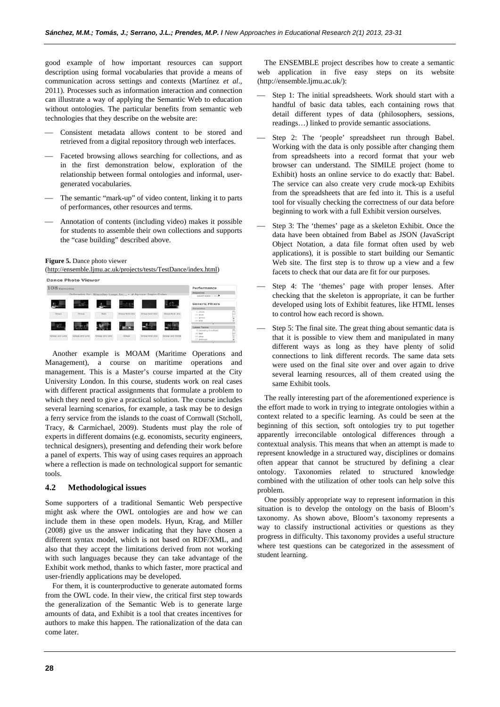good example of how important resources can support description using formal vocabularies that provide a means of communication across settings and contexts (Martínez *et al*.*,* 2011). Processes such as information interaction and connection can illustrate a way of applying the Semantic Web to education without ontologies. The particular benefits from semantic web technologies that they describe on the website are:

- Consistent metadata allows content to be stored and retrieved from a digital repository through web interfaces.
- Faceted browsing allows searching for collections, and as in the first demonstration below, exploration of the relationship between formal ontologies and informal, usergenerated vocabularies.
- The semantic "mark-up" of video content, linking it to parts of performances, other resources and terms.
- Annotation of contents (including video) makes it possible for students to assemble their own collections and supports the "case building" described above.

#### **Figure 5.** Dance photo viewer

[\(http://ensemble.ljmu.ac.uk/projects/tests/TestDance/index.html\)](http://ensemble.ljmu.ac.uk/projects/tests/TestDance/index.html)



Another example is MOAM (Maritime Operations and Management), a course on maritime operations and management. This is a Master's course imparted at the City University London. In this course, students work on real cases with different practical assignments that formulate a problem to which they need to give a practical solution. The course includes several learning scenarios, for example, a task may be to design a ferry service from the islands to the coast of Cornwall (Stcholl, Tracy, & Carmichael, 2009). Students must play the role of experts in different domains (e.g. economists, security engineers, technical designers), presenting and defending their work before a panel of experts. This way of using cases requires an approach where a reflection is made on technological support for semantic tools.

#### **4.2 Methodological issues**

Some supporters of a traditional Semantic Web perspective might ask where the OWL ontologies are and how we can include them in these open models. Hyun, Krag, and Miller (2008) give us the answer indicating that they have chosen a different syntax model, which is not based on RDF/XML, and also that they accept the limitations derived from not working with such languages because they can take advantage of the Exhibit work method, thanks to which faster, more practical and user-friendly applications may be developed.

For them, it is counterproductive to generate automated forms from the OWL code. In their view, the critical first step towards the generalization of the Semantic Web is to generate large amounts of data, and Exhibit is a tool that creates incentives for authors to make this happen. The rationalization of the data can come later.

The ENSEMBLE project describes how to create a semantic web application in five easy steps on its website (http://ensemble.ljmu.ac.uk/):

- Step 1: The initial spreadsheets. Work should start with a handful of basic data tables, each containing rows that detail different types of data (philosophers, sessions, readings…) linked to provide semantic associations.
- Step 2: The 'people' spreadsheet run through Babel. Working with the data is only possible after changing them from spreadsheets into a record format that your web browser can understand. The SIMILE project (home to Exhibit) hosts an online service to do exactly that: Babel. The service can also create very crude mock-up Exhibits from the spreadsheets that are fed into it. This is a useful tool for visually checking the correctness of our data before beginning to work with a full Exhibit version ourselves.
- Step 3: The 'themes' page as a skeleton Exhibit. Once the data have been obtained from Babel as JSON (JavaScript Object Notation, a data file format often used by web applications), it is possible to start building our Semantic Web site. The first step is to throw up a view and a few facets to check that our data are fit for our purposes.
- Step 4: The 'themes' page with proper lenses. After checking that the skeleton is appropriate, it can be further developed using lots of Exhibit features, like HTML lenses to control how each record is shown.
- Step 5: The final site. The great thing about semantic data is that it is possible to view them and manipulated in many different ways as long as they have plenty of solid connections to link different records. The same data sets were used on the final site over and over again to drive several learning resources, all of them created using the same Exhibit tools.

The really interesting part of the aforementioned experience is the effort made to work in trying to integrate ontologies within a context related to a specific learning. As could be seen at the beginning of this section, soft ontologies try to put together apparently irreconcilable ontological differences through a contextual analysis. This means that when an attempt is made to represent knowledge in a structured way, disciplines or domains often appear that cannot be structured by defining a clear ontology. Taxonomies related to structured knowledge combined with the utilization of other tools can help solve this problem.

One possibly appropriate way to represent information in this situation is to develop the ontology on the basis of Bloom's taxonomy. As shown above, Bloom's taxonomy represents a way to classify instructional activities or questions as they progress in difficulty. This taxonomy provides a useful structure where test questions can be categorized in the assessment of student learning.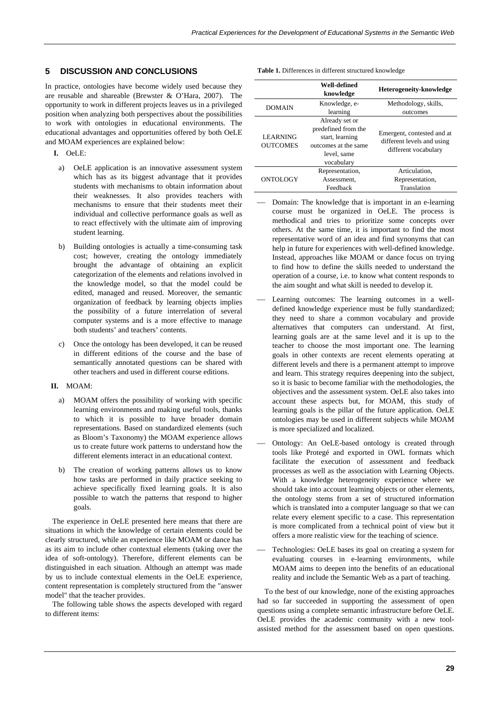# **5 DISCUSSION AND CONCLUSIONS**

In practice, ontologies have become widely used because they are reusable and shareable (Brewster & O'Hara, 2007). The opportunity to work in different projects leaves us in a privileged position when analyzing both perspectives about the possibilities to work with ontologies in educational environments. The educational advantages and opportunities offered by both OeLE and MOAM experiences are explained below:

**I.** OeLE:

- a) OeLE application is an innovative assessment system which has as its biggest advantage that it provides students with mechanisms to obtain information about their weaknesses. It also provides teachers with mechanisms to ensure that their students meet their individual and collective performance goals as well as to react effectively with the ultimate aim of improving student learning.
- b) Building ontologies is actually a time-consuming task cost; however, creating the ontology immediately brought the advantage of obtaining an explicit categorization of the elements and relations involved in the knowledge model, so that the model could be edited, managed and reused. Moreover, the semantic organization of feedback by learning objects implies the possibility of a future interrelation of several computer systems and is a more effective to manage both students' and teachers' contents.
- c) Once the ontology has been developed, it can be reused in different editions of the course and the base of semantically annotated questions can be shared with other teachers and used in different course editions.

#### **II.** MOAM:

- a) MOAM offers the possibility of working with specific learning environments and making useful tools, thanks to which it is possible to have broader domain representations. Based on standardized elements (such as Bloom's Taxonomy) the MOAM experience allows us to create future work patterns to understand how the different elements interact in an educational context.
- b) The creation of working patterns allows us to know how tasks are performed in daily practice seeking to achieve specifically fixed learning goals. It is also possible to watch the patterns that respond to higher goals.

The experience in OeLE presented here means that there are situations in which the knowledge of certain elements could be clearly structured, while an experience like MOAM or dance has as its aim to include other contextual elements (taking over the idea of soft-ontology). Therefore, different elements can be distinguished in each situation. Although an attempt was made by us to include contextual elements in the OeLE experience, content representation is completely structured from the "answer model" that the teacher provides.

The following table shows the aspects developed with regard to different items:

| Table 1. Differences in different structured knowledge |  |  |  |  |
|--------------------------------------------------------|--|--|--|--|
|--------------------------------------------------------|--|--|--|--|

|                                    | Well-defined<br>knowledge                                                                                     | Heterogeneity-knowledge                                                          |
|------------------------------------|---------------------------------------------------------------------------------------------------------------|----------------------------------------------------------------------------------|
| <b>DOMAIN</b>                      | Knowledge, e-<br>learning                                                                                     | Methodology, skills,<br>outcomes                                                 |
| <b>LEARNING</b><br><b>OUTCOMES</b> | Already set or<br>predefined from the<br>start, learning<br>outcomes at the same<br>level, same<br>vocabulary | Emergent, contested and at<br>different levels and using<br>different vocabulary |
| ONTOLOGY                           | Representation,<br>Assessment.<br>Feedback                                                                    | Articulation.<br>Representation,<br>Translation                                  |

- Domain: The knowledge that is important in an e-learning course must be organized in OeLE. The process is methodical and tries to prioritize some concepts over others. At the same time, it is important to find the most representative word of an idea and find synonyms that can help in future for experiences with well-defined knowledge. Instead, approaches like MOAM or dance focus on trying to find how to define the skills needed to understand the operation of a course, i.e. to know what content responds to the aim sought and what skill is needed to develop it.
- Learning outcomes: The learning outcomes in a welldefined knowledge experience must be fully standardized; they need to share a common vocabulary and provide alternatives that computers can understand. At first, learning goals are at the same level and it is up to the teacher to choose the most important one. The learning goals in other contexts are recent elements operating at different levels and there is a permanent attempt to improve and learn. This strategy requires deepening into the subject, so it is basic to become familiar with the methodologies, the objectives and the assessment system. OeLE also takes into account these aspects but, for MOAM, this study of learning goals is the pillar of the future application. OeLE ontologies may be used in different subjects while MOAM is more specialized and localized.
- Ontology: An OeLE-based ontology is created through tools like Protegé and exported in OWL formats which facilitate the execution of assessment and feedback processes as well as the association with Learning Objects. With a knowledge heterogeneity experience where we should take into account learning objects or other elements, the ontology stems from a set of structured information which is translated into a computer language so that we can relate every element specific to a case. This representation is more complicated from a technical point of view but it offers a more realistic view for the teaching of science.
- Technologies: OeLE bases its goal on creating a system for evaluating courses in e-learning environments, while MOAM aims to deepen into the benefits of an educational reality and include the Semantic Web as a part of teaching.

To the best of our knowledge, none of the existing approaches had so far succeeded in supporting the assessment of open questions using a complete semantic infrastructure before OeLE. OeLE provides the academic community with a new toolassisted method for the assessment based on open questions.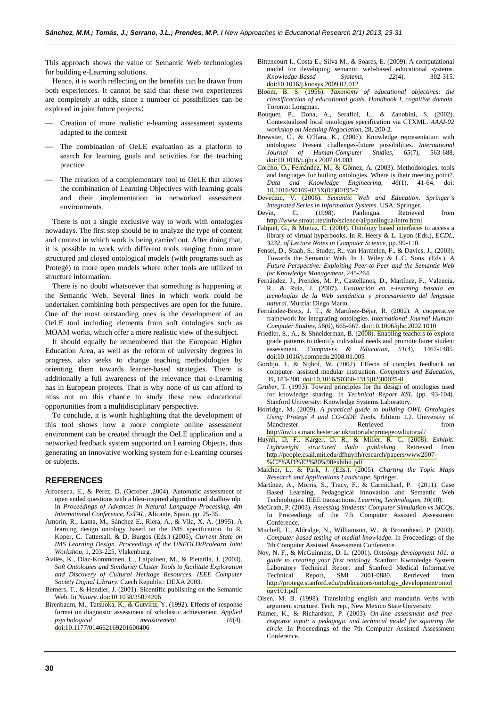This approach shows the value of Semantic Web technologies for building e-Learning solutions.

Hence, it is worth reflecting on the benefits can be drawn from both experiences. It cannot be said that these two experiences are completely at odds, since a number of possibilities can be explored in joint future projects:

- Creation of more realistic e-learning assessment systems adapted to the context
- The combination of OeLE evaluation as a platform to search for learning goals and activities for the teaching practice.
- The creation of a complementary tool to OeLE that allows the combination of Learning Objectives with learning goals and their implementation in networked assessment environments.

There is not a single exclusive way to work with ontologies nowadays. The first step should be to analyze the type of content and context in which work is being carried out. After doing that, it is possible to work with different tools ranging from more structured and closed ontological models (with programs such as Protegé) to more open models where other tools are utilized to structure information.

There is no doubt whatsoever that something is happening at the Semantic Web. Several lines in which work could be undertaken combining both perspectives are open for the future. One of the most outstanding ones is the development of an OeLE tool including elements from soft ontologies such as MOAM works, which offer a more realistic view of the subject.

It should equally be remembered that the European Higher Education Area, as well as the reform of university degrees in progress, also seeks to change teaching methodologies by orienting them towards learner-based strategies. There is additionally a full awareness of the relevance that e-Learning has in European projects. That is why none of us can afford to miss out on this chance to study these new educational opportunities from a multidisciplinary perspective.

To conclude, it is worth highlighting that the development of this tool shows how a more complete online assessment environment can be created through the OeLE application and a networked feedback system supported on Learning Objects, thus generating an innovative working system for e-Learning courses or subjects.

#### **REFERENCES**

- Alfonseca, E., & Perez, D. (October ,2004). Automatic assessment of open ended questions with a bleu-inspired algorithm and shallow nlp*.* In *Proceedings of Advances in Natural Language Processing, 4th International Conference*, *EsTAL*, Alicante, Spain, pp. 25-35.
- Amorín, R., Lama, M., Sánchez E., Riera, A., & Vila, X. A. (1995). A learning design ontology based on the IMS specification. In R. Koper, C. Tattersall, & D. Burgos (Eds.) (2005), *Current State on IMS Learning Design. Proceedings of the UNFOLD/Prolearn Joint Workshop*, 1, 203-225, Vlakenburg.
- Avilés, K., Diaz-Kommonen, L., Laipainen, M., & Pietarila, J. (2003). *Soft Ontologies and Similarity Cluster Tools to facilitate Exploration and Discovery of Cultural Heritage Resources. IEEE Computer Society Digital Library*. Czech Republic: DEXA 2003.
- Berners, T., & Hendler, J. (2001). Sicentific publishing on the Semantic Web. In *Nature*. [doi:10.1038/35074206](http://dx.doi.org/10.1038/35074206)
- Birenbaum, M., Tatsuoka, K., & Gutvirtz, Y. (1992). Effects of response format on diagnostic assessment of scholastic achievement. *Applied psychological measurement*, [doi:10.1177/014662169201600406](http://dx.doi.org/10.1177/014662169201600406)
- Bittencourt I., Costa E., Silva M., & Soares, E. (2009). A computational model for developing semantic web-based educational systems.<br> *Knowledge-Based* Systems, 22(4), 302-315.  $Knowledge-Based$ [doi:10.1016/j.knosys.2009.02.012](http://dx.doi.org/10.1016/j.knosys.2009.02.012)
- Bloom, B. S. (1956). *Taxonomy of educational objectives: the classificaction of educational goals. Handbook I, cognitive domain.* Toronto: Longman.
- Bouquet, P., Dona, A., Serafini, L., & Zanobini, S. (2002). Contextualized local ontologies specification via CTXML. *AAAI-02 workshop on Meaning Negociation*, 28, 200-2.
- Brewster, C., & O'Hara, K., (2007). Knowledge representation with ontologies: Present challenges-future possibilities. *International Journal of Human-Computer Studies, 65*(7), 563-688. [doi:10.1016/j.ijhcs.2007.04.003](http://dx.doi.org/10.1016/j.ijhcs.2007.04.003)
- Corcho, O., Fernández, M., & Gómez, A. (2003). Methodologies, tools and languages for builing ontologies. Where is their meeting point?. *Data and Knowledge Engineering*, *46*(1), 41-64. [doi:](http://dx.doi.org/10.1016/S0169-023X(02)00195-7) [10.1016/S0169-023X\(02\)00195-7](http://dx.doi.org/10.1016/S0169-023X(02)00195-7)
- Devedzic, V. (2006). *Semantic Web and Education. Springer's Integrated Series in Information Systems*. USA: Springer.
- Devin, C. (1998). Panlingua. Retrieved from <http://www.strout.net/info/science/ai/panlingua/intro.html>
- Falquet, G., & Mottaz, C. (2004). Ontology based interfaces to access a library of virtual hyperbooks. In R. Heery & L. Lyon (Eds.), *ECDL, 3232, of Lecture Notes in Computer Science*, pp. 99-110.
- Fensel, D., Staab, S., Studer, R., van Harmelen, F., & Davies, J., (2003). Towards the Semantic Web. In J. Wiley & L.C. Sons. (Eds.), *A Future Perspective: Exploiting Peer-to-Peer and the Semantic Web for Knowledge Management*, 245-264.
- Fernández, J., Prendes, M. P., Castellanos, D., Martínez, F., Valencia, R., & Ruíz, J. (2007). *Evaluación en e-learning basada en tecnologías de la Web semántica y procesamiento del lenguaje natural*. Murcia: Diego Marín.
- Fernández-Breis, J. T., & Martínez-Béjar, R. (2002). A cooperative framework for integrating ontologies. *International Journal Human-Computer Studies, 56*(6), 665-667. [doi:10.1006/ijhc.2002.1010](http://dx.doi.org/10.1006/ijhc.2002.1010)
- Friedler, S., A., & Shneiderman, B. (2008). Enabling teachers to explore grade patterns to identify individual needs and promote fairer student assessment. Computers & Education. 51(4), 1467-1485. assessment. *Computers & Education*, 51(4), [doi:10.1016/j.compedu.2008.01.005](http://dx.doi.org/10.1016/j.compedu.2008.01.005)
- Gordijn, J., & Nijhof, W. (2002). Effects of complex feedback on computer- assisted modular instruction. *Computers and Education, 39*, 183-200. [doi:10.1016/S0360-1315\(02\)00025-8](http://dx.doi.org/10.1016/S0360-1315(02)00025-8)
- G*ruber*, T. (1993). Toward principles for the design of ontologies used for knowledge sharing. In *Technical Report KSL* (pp. 93-104). Stanford University: Knowledge Systems Laboratory.
- Horridge, M. (2009). *A practical guide to building OWL Ontologies Using Protegé 4 and CO-ODE Tools. E*dition 1.2. University of Manchester. Retrieved from <http://owl.cs.manchester.ac.uk/tutorials/protegeowltutorial/>
- Huynh, D, F., Karger, D. R., & Miller, R. C. (2008). *Exhibit: Lightweight structured dada publishing.* Retrieved from [http://people.csail.mit.edu/dfhuynh/research/papers/www2007-](http://people.csail.mit.edu/dfhuynh/research/papers/www2007-%C2%AD%E2%80%90exhibit.pdf) [%C2%AD%E2%80%90exhibit.pdf](http://people.csail.mit.edu/dfhuynh/research/papers/www2007-%C2%AD%E2%80%90exhibit.pdf)
- Maicher, L., & Park, J. (Eds.), (2005). *Charting the Topic Maps Research and Applications Landscape*. Springer.
- Martínez, A., Morris, S., Tracy, F., & Carmichael, P. (2011). Case Based Learning, Pedagogical Innovation and Semantic Web Technologies. IEEE transactions. *Learning Technologies, 10*(10).
- McGrath, P. (2003). *Assessing Students: Computer Simulation vs MCQs*. In Proceedings of the 7th Computer Assisted Assessment Conference.
- Mitchell, T., Aldridge, N., Williamson, W., & Broomhead, P. (2003). *Computer based testing of medial knowledge*. In Proceedings of the 7th Computer Assisted Assessment Conference.
- Noy, N. F., & McGuinness, D. L. (2001). *Ontology development 101: a guide to creating your first ontology*. Stanford Kwnoledge System Laboratory Technical Report and Stanford Medical Informative Technical Report, SMI 2001-0880. Retrieved from [http://protege.stanford.edu/publications/ontology\\_development/ontol](http://protege.stanford.edu/publications/ontology_development/ontology101.pdf) [ogy101.pdf](http://protege.stanford.edu/publications/ontology_development/ontology101.pdf)
- Olsen, M. B. (1998). Translating english and mandarin verbs with argument structure. Tech. rep., New Mexico State University.
- Palmer, K., & Richardson, P. (2003). *On-line assessment and freeresponse input: a pedagogic and technical model for squaring the circle*. In Proceedings of the 7th Computer Assisted Assessment Conference.